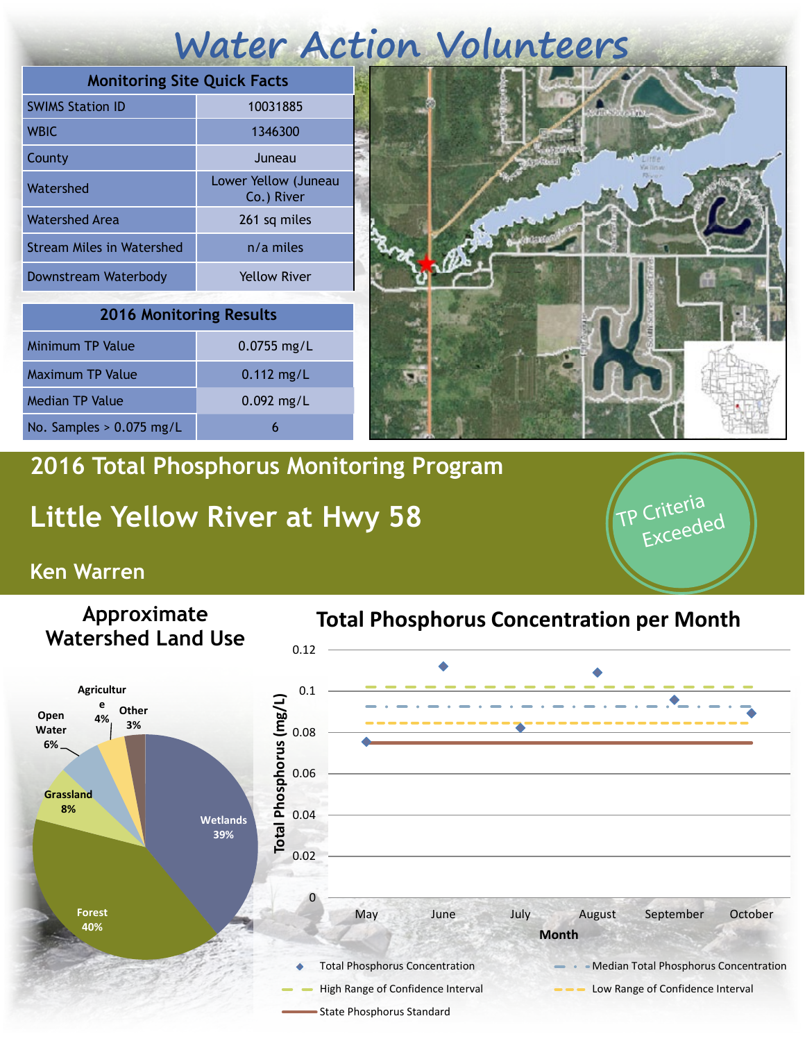# **Water Action Volunteers**

| <b>Monitoring Site Quick Facts</b> |                                    |
|------------------------------------|------------------------------------|
| <b>SWIMS Station ID</b>            | 10031885                           |
| <b>WBIC</b>                        | 1346300                            |
| County                             | Juneau                             |
| Watershed                          | Lower Yellow (Juneau<br>Co.) River |
| Watershed Area                     | 261 sq miles                       |
| <b>Stream Miles in Watershed</b>   | $n/a$ miles                        |
| Downstream Waterbody               | <b>Yellow River</b>                |

| <b>2016 Monitoring Results</b> |               |  |
|--------------------------------|---------------|--|
| Minimum TP Value               | $0.0755$ mg/L |  |
| Maximum TP Value               | $0.112$ mg/L  |  |
| <b>Median TP Value</b>         | $0.092$ mg/L  |  |
| No. Samples $> 0.075$ mg/L     |               |  |



P Criteria

Exceeded

### **2016 Total Phosphorus Monitoring Program**

## **Little Yellow River at Hwy 58**